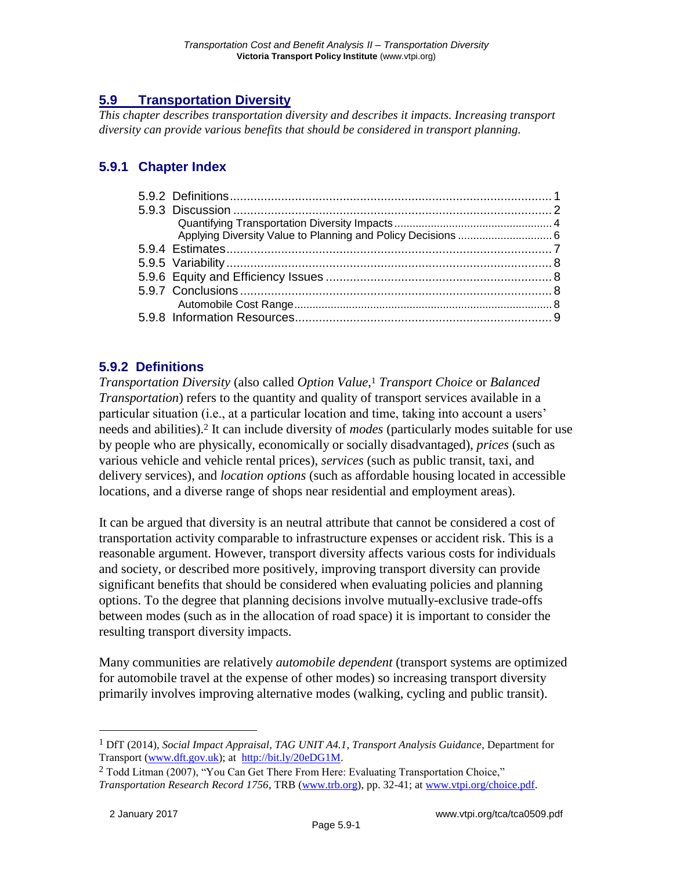# **5.9 Transportation Diversity**

*This chapter describes transportation diversity and describes it impacts. Increasing transport diversity can provide various benefits that should be considered in transport planning.*

# **5.9.1 Chapter Index**

## **5.9.2 Definitions**

*Transportation Diversity* (also called *Option Value*, <sup>1</sup> *Transport Choice* or *Balanced Transportation*) refers to the quantity and quality of transport services available in a particular situation (i.e., at a particular location and time, taking into account a users' needs and abilities).<sup>2</sup> It can include diversity of *modes* (particularly modes suitable for use by people who are physically, economically or socially disadvantaged), *prices* (such as various vehicle and vehicle rental prices), *services* (such as public transit, taxi, and delivery services), and *location options* (such as affordable housing located in accessible locations, and a diverse range of shops near residential and employment areas).

It can be argued that diversity is an neutral attribute that cannot be considered a cost of transportation activity comparable to infrastructure expenses or accident risk. This is a reasonable argument. However, transport diversity affects various costs for individuals and society, or described more positively, improving transport diversity can provide significant benefits that should be considered when evaluating policies and planning options. To the degree that planning decisions involve mutually-exclusive trade-offs between modes (such as in the allocation of road space) it is important to consider the resulting transport diversity impacts.

Many communities are relatively *automobile dependent* (transport systems are optimized for automobile travel at the expense of other modes) so increasing transport diversity primarily involves improving alternative modes (walking, cycling and public transit).

<sup>1</sup> DfT (2014), *Social Impact Appraisal, TAG UNIT A4.1*, *Transport Analysis Guidance*, Department for Transport [\(www.dft.gov.uk\)](http://www.dft.gov.uk/); at [http://bit.ly/20eDG1M.](http://bit.ly/20eDG1M)

<sup>&</sup>lt;sup>2</sup> Todd Litman (2007), "You Can Get There From Here: Evaluating Transportation Choice," *Transportation Research Record 1756*, TRB [\(www.trb.org\)](http://www.trb.org/), pp. 32-41; at [www.vtpi.org/choice.pdf.](http://www.vtpi.org/choice.pdf)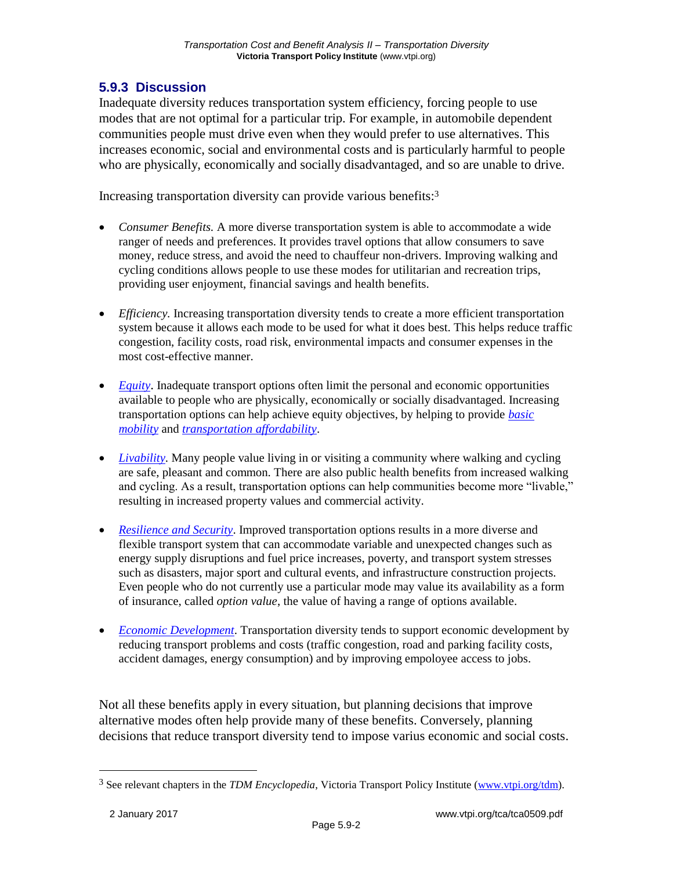## **5.9.3 Discussion**

Inadequate diversity reduces transportation system efficiency, forcing people to use modes that are not optimal for a particular trip. For example, in automobile dependent communities people must drive even when they would prefer to use alternatives. This increases economic, social and environmental costs and is particularly harmful to people who are physically, economically and socially disadvantaged, and so are unable to drive.

Increasing transportation diversity can provide various benefits:<sup>3</sup>

- *Consumer Benefits.* A more diverse transportation system is able to accommodate a wide ranger of needs and preferences. It provides travel options that allow consumers to save money, reduce stress, and avoid the need to chauffeur non-drivers. Improving walking and cycling conditions allows people to use these modes for utilitarian and recreation trips, providing user enjoyment, financial savings and health benefits.
- *Efficiency.* Increasing transportation diversity tends to create a more efficient transportation system because it allows each mode to be used for what it does best. This helps reduce traffic congestion, facility costs, road risk, environmental impacts and consumer expenses in the most cost-effective manner.
- *[Equity](http://www.vtpi.org/tdm/tdm13.htm)*. Inadequate transport options often limit the personal and economic opportunities available to people who are physically, economically or socially disadvantaged. Increasing transportation options can help achieve equity objectives, by helping to provide *[basic](http://www.vtpi.org/tdm/tdm103.htm)  [mobility](http://www.vtpi.org/tdm/tdm103.htm)* and *[transportation affordability](http://www.vtpi.org/tdm/tdm106.htm)*.
- *[Livability.](http://www.vtpi.org/tdm/tdm97.htm)* Many people value living in or visiting a community where walking and cycling are safe, pleasant and common. There are also public health benefits from increased walking and cycling. As a result, transportation options can help communities become more "livable," resulting in increased property values and commercial activity.
- *[Resilience and Security](http://www.vtpi.org/tdm/tdm88.htm)*. Improved transportation options results in a more diverse and flexible transport system that can accommodate variable and unexpected changes such as energy supply disruptions and fuel price increases, poverty, and transport system stresses such as disasters, major sport and cultural events, and infrastructure construction projects. Even people who do not currently use a particular mode may value its availability as a form of insurance, called *option value*, the value of having a range of options available.
- *[Economic Development](http://www.vtpi.org/tdm/tdm54.htm)*. Transportation diversity tends to support economic development by reducing transport problems and costs (traffic congestion, road and parking facility costs, accident damages, energy consumption) and by improving empoloyee access to jobs.

Not all these benefits apply in every situation, but planning decisions that improve alternative modes often help provide many of these benefits. Conversely, planning decisions that reduce transport diversity tend to impose varius economic and social costs.

<sup>3</sup> See relevant chapters in the *TDM Encyclopedia*, Victoria Transport Policy Institute [\(www.vtpi.org/tdm\)](http://www.vtpi.org/tdm).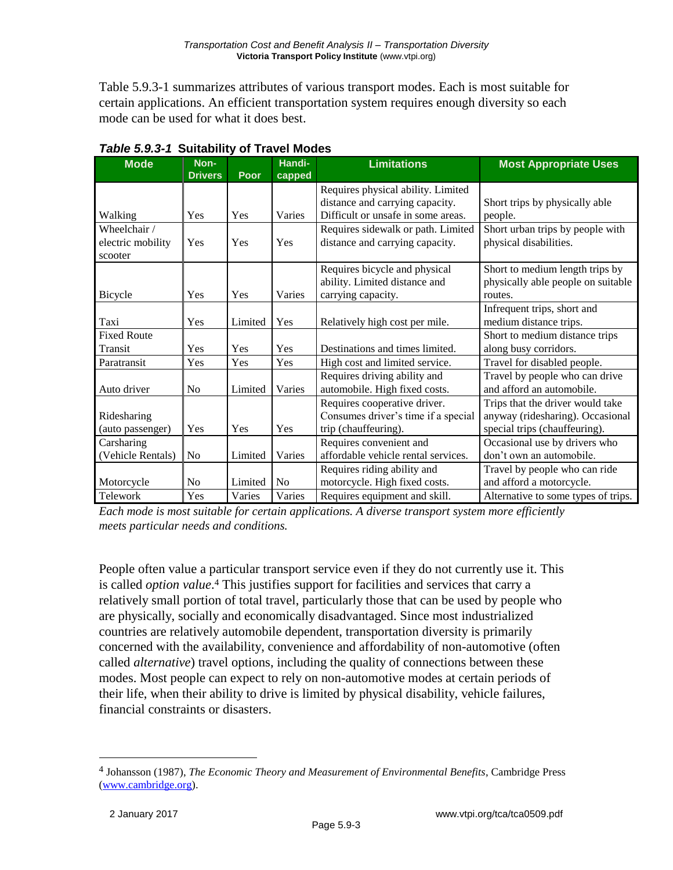Table 5.9.3-1 summarizes attributes of various transport modes. Each is most suitable for certain applications. An efficient transportation system requires enough diversity so each mode can be used for what it does best.

| <b>Mode</b>        | Non-<br><b>Drivers</b> | <b>Poor</b> | Handi-<br>capped | <b>Limitations</b>                                       | <b>Most Appropriate Uses</b>        |
|--------------------|------------------------|-------------|------------------|----------------------------------------------------------|-------------------------------------|
|                    |                        |             |                  | Requires physical ability. Limited                       |                                     |
|                    |                        |             |                  | distance and carrying capacity.                          | Short trips by physically able      |
| Walking            | Yes                    | Yes         | Varies           | Difficult or unsafe in some areas.                       | people.                             |
| Wheelchair /       |                        |             |                  | Requires sidewalk or path. Limited                       | Short urban trips by people with    |
| electric mobility  | Yes                    | Yes         | Yes              | distance and carrying capacity.                          | physical disabilities.              |
| scooter            |                        |             |                  |                                                          |                                     |
|                    |                        |             |                  | Requires bicycle and physical                            | Short to medium length trips by     |
|                    |                        |             |                  | ability. Limited distance and                            | physically able people on suitable  |
| Bicycle            | Yes                    | Yes         | Varies           | carrying capacity.                                       | routes.                             |
|                    |                        |             |                  |                                                          | Infrequent trips, short and         |
| Taxi               | Yes                    | Limited     | Yes              | Relatively high cost per mile.                           | medium distance trips.              |
| <b>Fixed Route</b> |                        |             |                  |                                                          | Short to medium distance trips      |
| Transit            | Yes                    | Yes         | Yes              | Destinations and times limited.                          | along busy corridors.               |
| Paratransit        | Yes                    | Yes         | Yes              | High cost and limited service.                           | Travel for disabled people.         |
|                    |                        |             |                  | Requires driving ability and                             | Travel by people who can drive      |
| Auto driver        | N <sub>0</sub>         | Limited     | Varies           | automobile. High fixed costs.                            | and afford an automobile.           |
|                    |                        |             |                  | Requires cooperative driver.                             | Trips that the driver would take    |
| Ridesharing        |                        |             |                  | Consumes driver's time if a special                      | anyway (ridesharing). Occasional    |
| (auto passenger)   | Yes                    | Yes         | Yes              | trip (chauffeuring).                                     | special trips (chauffeuring).       |
| Carsharing         |                        |             |                  | Requires convenient and<br>Occasional use by drivers who |                                     |
| (Vehicle Rentals)  | No                     | Limited     | Varies           | affordable vehicle rental services.                      | don't own an automobile.            |
|                    |                        |             |                  | Requires riding ability and                              | Travel by people who can ride       |
| Motorcycle         | N <sub>o</sub>         | Limited     | No               | motorcycle. High fixed costs.                            | and afford a motorcycle.            |
| Telework           | Yes                    | Varies      | Varies           | Requires equipment and skill.                            | Alternative to some types of trips. |

|  |  | Table 5.9.3-1 Suitability of Travel Modes |
|--|--|-------------------------------------------|
|--|--|-------------------------------------------|

*Each mode is most suitable for certain applications. A diverse transport system more efficiently meets particular needs and conditions.*

People often value a particular transport service even if they do not currently use it. This is called *option value*. <sup>4</sup> This justifies support for facilities and services that carry a relatively small portion of total travel, particularly those that can be used by people who are physically, socially and economically disadvantaged. Since most industrialized countries are relatively automobile dependent, transportation diversity is primarily concerned with the availability, convenience and affordability of non-automotive (often called *alternative*) travel options, including the quality of connections between these modes. Most people can expect to rely on non-automotive modes at certain periods of their life, when their ability to drive is limited by physical disability, vehicle failures, financial constraints or disasters.

<sup>4</sup> Johansson (1987), *The Economic Theory and Measurement of Environmental Benefits*, Cambridge Press [\(www.cambridge.org\)](http://www.cambridge.org/).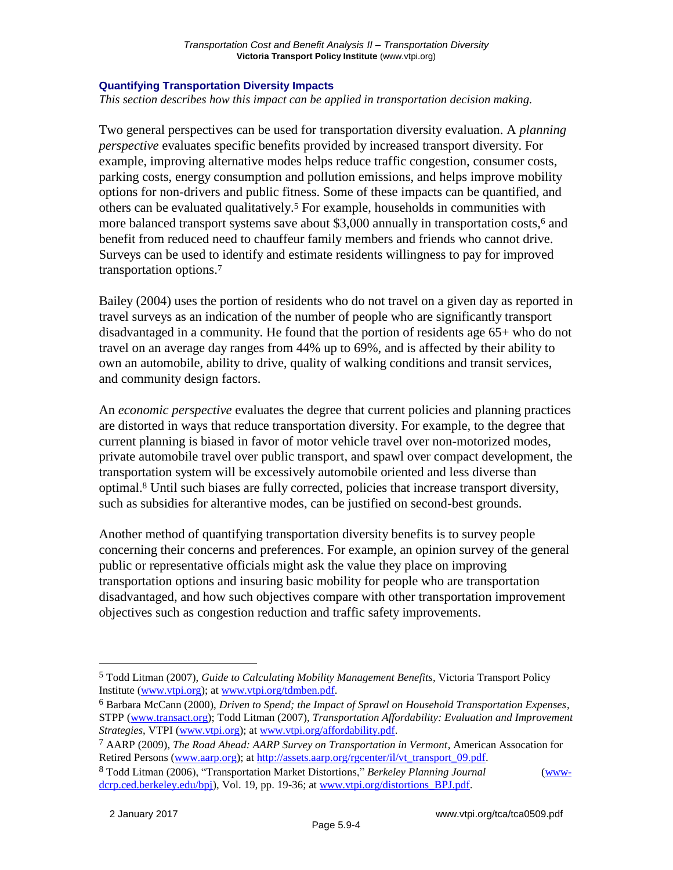#### **Quantifying Transportation Diversity Impacts**

*This section describes how this impact can be applied in transportation decision making.*

Two general perspectives can be used for transportation diversity evaluation. A *planning perspective* evaluates specific benefits provided by increased transport diversity. For example, improving alternative modes helps reduce traffic congestion, consumer costs, parking costs, energy consumption and pollution emissions, and helps improve mobility options for non-drivers and public fitness. Some of these impacts can be quantified, and others can be evaluated qualitatively.<sup>5</sup> For example, households in communities with more balanced transport systems save about \$3,000 annually in transportation costs,<sup>6</sup> and benefit from reduced need to chauffeur family members and friends who cannot drive. Surveys can be used to identify and estimate residents willingness to pay for improved transportation options.<sup>7</sup>

Bailey (2004) uses the portion of residents who do not travel on a given day as reported in travel surveys as an indication of the number of people who are significantly transport disadvantaged in a community. He found that the portion of residents age 65+ who do not travel on an average day ranges from 44% up to 69%, and is affected by their ability to own an automobile, ability to drive, quality of walking conditions and transit services, and community design factors.

An *economic perspective* evaluates the degree that current policies and planning practices are distorted in ways that reduce transportation diversity. For example, to the degree that current planning is biased in favor of motor vehicle travel over non-motorized modes, private automobile travel over public transport, and spawl over compact development, the transportation system will be excessively automobile oriented and less diverse than optimal.<sup>8</sup> Until such biases are fully corrected, policies that increase transport diversity, such as subsidies for alterantive modes, can be justified on second-best grounds.

Another method of quantifying transportation diversity benefits is to survey people concerning their concerns and preferences. For example, an opinion survey of the general public or representative officials might ask the value they place on improving transportation options and insuring basic mobility for people who are transportation disadvantaged, and how such objectives compare with other transportation improvement objectives such as congestion reduction and traffic safety improvements.

<sup>5</sup> Todd Litman (2007), *Guide to Calculating Mobility Management Benefits*, Victoria Transport Policy Institute [\(www.vtpi.org\)](http://www.vtpi.org/); at [www.vtpi.org/tdmben.pdf.](http://www.vtpi.org/tdmben.pdf)

<sup>6</sup> Barbara McCann (2000), *Driven to Spend; the Impact of Sprawl on Household Transportation Expenses*, STPP [\(www.transact.org\)](http://www.transact.org/); Todd Litman (2007), *Transportation Affordability: Evaluation and Improvement Strategies*, VTPI [\(www.vtpi.org\)](http://www.vtpi.org/); at [www.vtpi.org/affordability.pdf.](http://www.vtpi.org/affordability.pdf)

<sup>7</sup> AARP (2009), *The Road Ahead: AARP Survey on Transportation in Vermont*, American Assocation for Retired Persons [\(www.aarp.org\)](http://www.aarp.org/); a[t http://assets.aarp.org/rgcenter/il/vt\\_transport\\_09.pdf.](http://assets.aarp.org/rgcenter/il/vt_transport_09.pdf)

<sup>8</sup> Todd Litman (2006), "Transportation Market Distortions," *Berkeley Planning Journal* [\(www](http://www-dcrp.ced.berkeley.edu/bpj)[dcrp.ced.berkeley.edu/bpj\)](http://www-dcrp.ced.berkeley.edu/bpj), Vol. 19, pp. 19-36; a[t www.vtpi.org/distortions\\_BPJ.pdf.](http://www.vtpi.org/distortions_BPJ.pdf)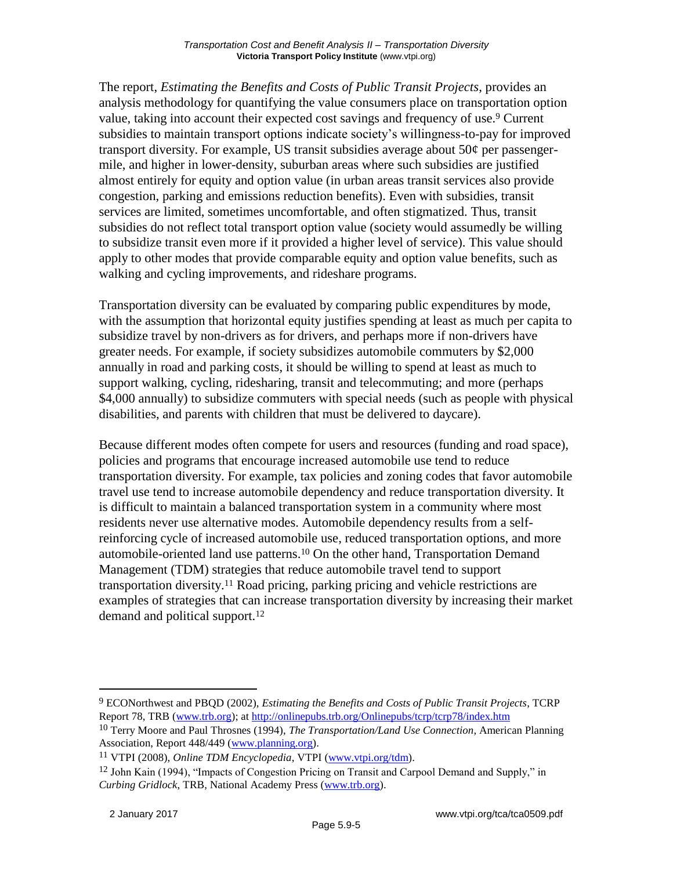The report, *Estimating the Benefits and Costs of Public Transit Projects*, provides an analysis methodology for quantifying the value consumers place on transportation option value, taking into account their expected cost savings and frequency of use.<sup>9</sup> Current subsidies to maintain transport options indicate society's willingness-to-pay for improved transport diversity. For example, US transit subsidies average about 50¢ per passengermile, and higher in lower-density, suburban areas where such subsidies are justified almost entirely for equity and option value (in urban areas transit services also provide congestion, parking and emissions reduction benefits). Even with subsidies, transit services are limited, sometimes uncomfortable, and often stigmatized. Thus, transit subsidies do not reflect total transport option value (society would assumedly be willing to subsidize transit even more if it provided a higher level of service). This value should apply to other modes that provide comparable equity and option value benefits, such as walking and cycling improvements, and rideshare programs.

Transportation diversity can be evaluated by comparing public expenditures by mode, with the assumption that horizontal equity justifies spending at least as much per capita to subsidize travel by non-drivers as for drivers, and perhaps more if non-drivers have greater needs. For example, if society subsidizes automobile commuters by \$2,000 annually in road and parking costs, it should be willing to spend at least as much to support walking, cycling, ridesharing, transit and telecommuting; and more (perhaps \$4,000 annually) to subsidize commuters with special needs (such as people with physical disabilities, and parents with children that must be delivered to daycare).

Because different modes often compete for users and resources (funding and road space), policies and programs that encourage increased automobile use tend to reduce transportation diversity. For example, tax policies and zoning codes that favor automobile travel use tend to increase automobile dependency and reduce transportation diversity. It is difficult to maintain a balanced transportation system in a community where most residents never use alternative modes. Automobile dependency results from a selfreinforcing cycle of increased automobile use, reduced transportation options, and more automobile-oriented land use patterns.<sup>10</sup> On the other hand, Transportation Demand Management (TDM) strategies that reduce automobile travel tend to support transportation diversity.<sup>11</sup> Road pricing, parking pricing and vehicle restrictions are examples of strategies that can increase transportation diversity by increasing their market demand and political support.<sup>12</sup>

<sup>9</sup> ECONorthwest and PBQD (2002), *Estimating the Benefits and Costs of Public Transit Projects*, TCRP Report 78, TRB [\(www.trb.org\)](http://www.trb.org/); at<http://onlinepubs.trb.org/Onlinepubs/tcrp/tcrp78/index.htm>

<sup>10</sup> Terry Moore and Paul Throsnes (1994), *The Transportation/Land Use Connection*, American Planning Association, Report 448/449 [\(www.planning.org\)](http://www.planning.org/).

<sup>11</sup> VTPI (2008), *Online TDM Encyclopedia*, VTPI [\(www.vtpi.org/tdm\)](http://www.vtpi.org/tdm).

<sup>&</sup>lt;sup>12</sup> John Kain (1994), "Impacts of Congestion Pricing on Transit and Carpool Demand and Supply," in *Curbing Gridlock*, TRB, National Academy Press [\(www.trb.org\)](http://www.trb.org/).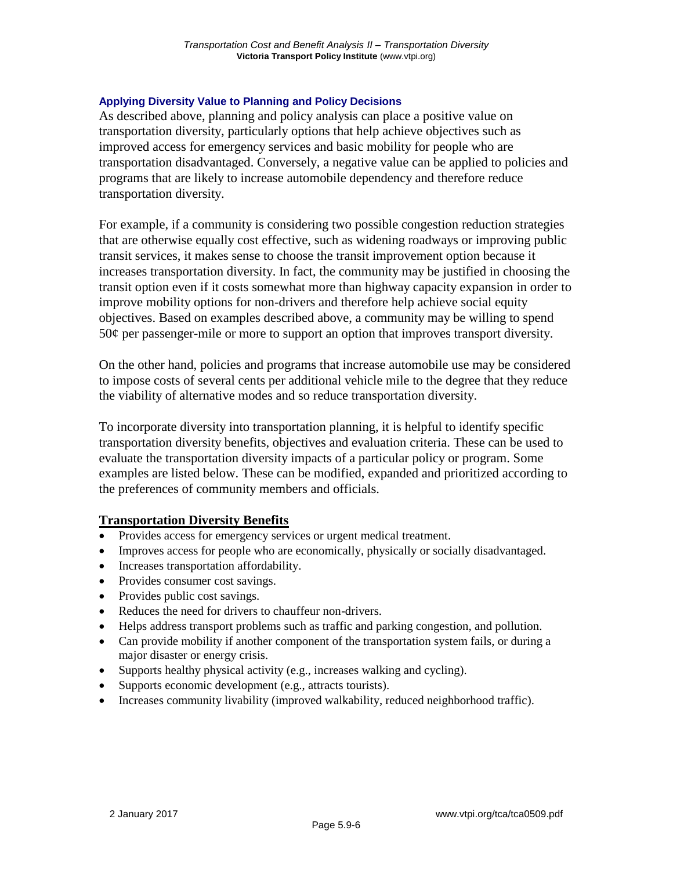#### **Applying Diversity Value to Planning and Policy Decisions**

As described above, planning and policy analysis can place a positive value on transportation diversity, particularly options that help achieve objectives such as improved access for emergency services and basic mobility for people who are transportation disadvantaged. Conversely, a negative value can be applied to policies and programs that are likely to increase automobile dependency and therefore reduce transportation diversity.

For example, if a community is considering two possible congestion reduction strategies that are otherwise equally cost effective, such as widening roadways or improving public transit services, it makes sense to choose the transit improvement option because it increases transportation diversity. In fact, the community may be justified in choosing the transit option even if it costs somewhat more than highway capacity expansion in order to improve mobility options for non-drivers and therefore help achieve social equity objectives. Based on examples described above, a community may be willing to spend  $50¢$  per passenger-mile or more to support an option that improves transport diversity.

On the other hand, policies and programs that increase automobile use may be considered to impose costs of several cents per additional vehicle mile to the degree that they reduce the viability of alternative modes and so reduce transportation diversity.

To incorporate diversity into transportation planning, it is helpful to identify specific transportation diversity benefits, objectives and evaluation criteria. These can be used to evaluate the transportation diversity impacts of a particular policy or program. Some examples are listed below. These can be modified, expanded and prioritized according to the preferences of community members and officials.

### **Transportation Diversity Benefits**

- Provides access for emergency services or urgent medical treatment.
- Improves access for people who are economically, physically or socially disadvantaged.
- Increases transportation affordability.
- Provides consumer cost savings.
- Provides public cost savings.
- Reduces the need for drivers to chauffeur non-drivers.
- Helps address transport problems such as traffic and parking congestion, and pollution.
- Can provide mobility if another component of the transportation system fails, or during a major disaster or energy crisis.
- Supports healthy physical activity (e.g., increases walking and cycling).
- Supports economic development (e.g., attracts tourists).
- Increases community livability (improved walkability, reduced neighborhood traffic).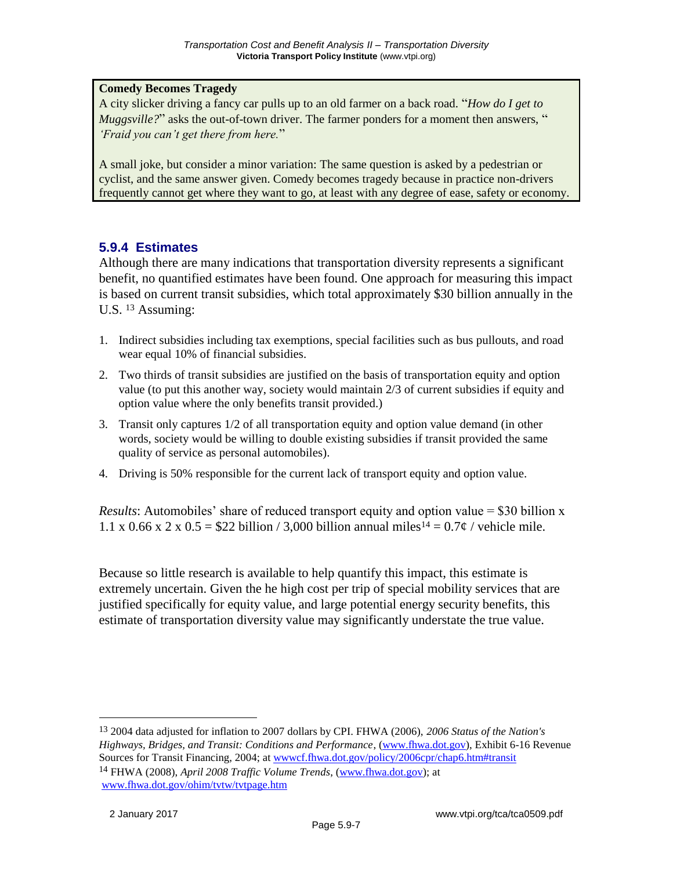#### **Comedy Becomes Tragedy**

A city slicker driving a fancy car pulls up to an old farmer on a back road. "*How do I get to Muggsville?*" asks the out-of-town driver. The farmer ponders for a moment then answers, " *'Fraid you can't get there from here.*"

A small joke, but consider a minor variation: The same question is asked by a pedestrian or cyclist, and the same answer given. Comedy becomes tragedy because in practice non-drivers frequently cannot get where they want to go, at least with any degree of ease, safety or economy.

### **5.9.4 Estimates**

Although there are many indications that transportation diversity represents a significant benefit, no quantified estimates have been found. One approach for measuring this impact is based on current transit subsidies, which total approximately \$30 billion annually in the U.S. <sup>13</sup> Assuming:

- 1. Indirect subsidies including tax exemptions, special facilities such as bus pullouts, and road wear equal 10% of financial subsidies.
- 2. Two thirds of transit subsidies are justified on the basis of transportation equity and option value (to put this another way, society would maintain 2/3 of current subsidies if equity and option value where the only benefits transit provided.)
- 3. Transit only captures 1/2 of all transportation equity and option value demand (in other words, society would be willing to double existing subsidies if transit provided the same quality of service as personal automobiles).
- 4. Driving is 50% responsible for the current lack of transport equity and option value.

*Results*: Automobiles' share of reduced transport equity and option value = \$30 billion x 1.1 x 0.66 x 2 x 0.5 = \$22 billion / 3,000 billion annual miles<sup>14</sup> =  $0.7¢$  / vehicle mile.

Because so little research is available to help quantify this impact, this estimate is extremely uncertain. Given the he high cost per trip of special mobility services that are justified specifically for equity value, and large potential energy security benefits, this estimate of transportation diversity value may significantly understate the true value.

13 2004 data adjusted for inflation to 2007 dollars by CPI. FHWA (2006), *2006 Status of the Nation's Highways, Bridges, and Transit: Conditions and Performance*, [\(www.fhwa.dot.gov\)](http://www.fhwa.dot.gov/), Exhibit 6-16 Revenue Sources for Transit Financing, 2004; at [wwwcf.fhwa.dot.gov/policy/2006cpr/chap6.htm#transit](http://wwwcf.fhwa.dot.gov/policy/2006cpr/chap6.htm#transit) 14 FHWA (2008), *April 2008 Traffic Volume Trends*, [\(www.fhwa.dot.gov\)](http://www.fhwa.dot.gov/); at [www.fhwa.dot.gov/ohim/tvtw/tvtpage.htm](http://www.fhwa.dot.gov/ohim/tvtw/tvtpage.htm)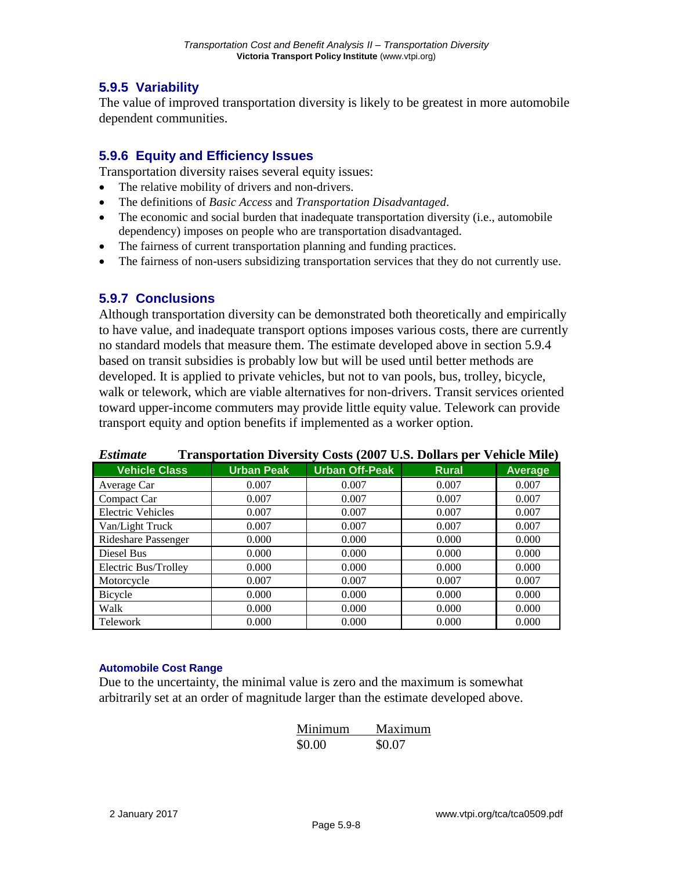## **5.9.5 Variability**

The value of improved transportation diversity is likely to be greatest in more automobile dependent communities.

## **5.9.6 Equity and Efficiency Issues**

Transportation diversity raises several equity issues:

- The relative mobility of drivers and non-drivers.
- The definitions of *Basic Access* and *Transportation Disadvantaged*.
- The economic and social burden that inadequate transportation diversity (i.e., automobile dependency) imposes on people who are transportation disadvantaged.
- The fairness of current transportation planning and funding practices.
- The fairness of non-users subsidizing transportation services that they do not currently use.

### **5.9.7 Conclusions**

Although transportation diversity can be demonstrated both theoretically and empirically to have value, and inadequate transport options imposes various costs, there are currently no standard models that measure them. The estimate developed above in section 5.9.4 based on transit subsidies is probably low but will be used until better methods are developed. It is applied to private vehicles, but not to van pools, bus, trolley, bicycle, walk or telework, which are viable alternatives for non-drivers. Transit services oriented toward upper-income commuters may provide little equity value. Telework can provide transport equity and option benefits if implemented as a worker option.

| <b>Estimate</b>          |                   | <b>Transportation Diversity Costs (2007 U.S. Dollars per Vehicle Mile)</b> |              |         |
|--------------------------|-------------------|----------------------------------------------------------------------------|--------------|---------|
| <b>Vehicle Class</b>     | <b>Urban Peak</b> | <b>Urban Off-Peak</b>                                                      | <b>Rural</b> | Average |
| Average Car              | 0.007             | 0.007                                                                      | 0.007        | 0.007   |
| Compact Car              | 0.007             | 0.007                                                                      | 0.007        | 0.007   |
| <b>Electric Vehicles</b> | 0.007             | 0.007                                                                      | 0.007        | 0.007   |
| Van/Light Truck          | 0.007             | 0.007                                                                      | 0.007        | 0.007   |
| Rideshare Passenger      | 0.000             | 0.000                                                                      | 0.000        | 0.000   |
| Diesel Bus               | 0.000             | 0.000                                                                      | 0.000        | 0.000   |
| Electric Bus/Trolley     | 0.000             | 0.000                                                                      | 0.000        | 0.000   |
| Motorcycle               | 0.007             | 0.007                                                                      | 0.007        | 0.007   |
| Bicycle                  | 0.000             | 0.000                                                                      | 0.000        | 0.000   |
| Walk                     | 0.000             | 0.000                                                                      | 0.000        | 0.000   |
| Telework                 | 0.000             | 0.000                                                                      | 0.000        | 0.000   |

#### **Automobile Cost Range**

Due to the uncertainty, the minimal value is zero and the maximum is somewhat arbitrarily set at an order of magnitude larger than the estimate developed above.

| Minimum | Maximum |
|---------|---------|
| \$0.00  | \$0.07  |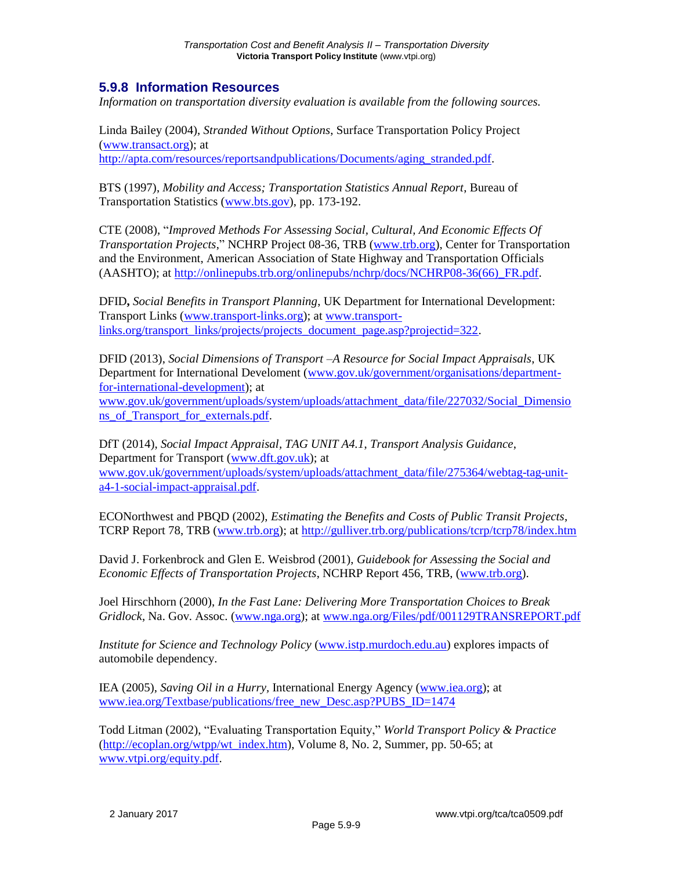### **5.9.8 Information Resources**

*Information on transportation diversity evaluation is available from the following sources.*

Linda Bailey (2004), *Stranded Without Options*, Surface Transportation Policy Project [\(www.transact.org\)](http://www.transact.org/); at [http://apta.com/resources/reportsandpublications/Documents/aging\\_stranded.pdf.](http://apta.com/resources/reportsandpublications/Documents/aging_stranded.pdf)

BTS (1997), *Mobility and Access; Transportation Statistics Annual Report*, Bureau of Transportation Statistics [\(www.bts.gov\)](http://www.bts.gov/), pp. 173-192.

CTE (2008), "*Improved Methods For Assessing Social, Cultural, And Economic Effects Of Transportation Projects*," NCHRP Project 08-36, TRB [\(www.trb.org\)](http://www.trb.org/), Center for Transportation and the Environment, American Association of State Highway and Transportation Officials (AASHTO); at [http://onlinepubs.trb.org/onlinepubs/nchrp/docs/NCHRP08-36\(66\)\\_FR.pdf.](http://onlinepubs.trb.org/onlinepubs/nchrp/docs/NCHRP08-36(66)_FR.pdf)

DFID**,** *Social Benefits in Transport Planning*, UK Department for International Development: Transport Links [\(www.transport-links.org\)](http://www.transport-links.org/); at [www.transport](http://www.transport-links.org/transport_links/projects/projects_document_page.asp?projectid=322)[links.org/transport\\_links/projects/projects\\_document\\_page.asp?projectid=322.](http://www.transport-links.org/transport_links/projects/projects_document_page.asp?projectid=322)

DFID (2013), *Social Dimensions of Transport –A Resource for Social Impact Appraisals*, UK Department for International Develoment [\(www.gov.uk/government/organisations/department](http://www.gov.uk/government/organisations/department-for-international-development)[for-international-development\)](http://www.gov.uk/government/organisations/department-for-international-development); at

[www.gov.uk/government/uploads/system/uploads/attachment\\_data/file/227032/Social\\_Dimensio](http://www.gov.uk/government/uploads/system/uploads/attachment_data/file/227032/Social_Dimensions_of_Transport_for_externals.pdf) [ns\\_of\\_Transport\\_for\\_externals.pdf.](http://www.gov.uk/government/uploads/system/uploads/attachment_data/file/227032/Social_Dimensions_of_Transport_for_externals.pdf)

DfT (2014), *Social Impact Appraisal, TAG UNIT A4.1*, *Transport Analysis Guidance*, Department for Transport [\(www.dft.gov.uk\)](http://www.dft.gov.uk/); at [www.gov.uk/government/uploads/system/uploads/attachment\\_data/file/275364/webtag-tag-unit](http://www.gov.uk/government/uploads/system/uploads/attachment_data/file/275364/webtag-tag-unit-a4-1-social-impact-appraisal.pdf)[a4-1-social-impact-appraisal.pdf.](http://www.gov.uk/government/uploads/system/uploads/attachment_data/file/275364/webtag-tag-unit-a4-1-social-impact-appraisal.pdf)

ECONorthwest and PBQD (2002), *Estimating the Benefits and Costs of Public Transit Projects*, TCRP Report 78, TRB [\(www.trb.org\)](http://www.trb.org/); at<http://gulliver.trb.org/publications/tcrp/tcrp78/index.htm>

David J. Forkenbrock and Glen E. Weisbrod (2001), *Guidebook for Assessing the Social and Economic Effects of Transportation Projects*, NCHRP Report 456, TRB, [\(www.trb.org\)](http://www.trb.org/).

Joel Hirschhorn (2000), *In the Fast Lane: Delivering More Transportation Choices to Break Gridlock*, Na. Gov. Assoc. [\(www.nga.org\)](http://www.nga.org/); at [www.nga.org/Files/pdf/001129TRANSREPORT.pdf](http://www.nga.org/Files/pdf/001129TRANSREPORT.pdf)

*Institute for Science and Technology Policy* [\(www.istp.murdoch.edu.au\)](http://www.istp.murdoch.edu.au/) explores impacts of automobile dependency.

IEA (2005), *Saving Oil in a Hurry,* International Energy Agency [\(www.iea.org\)](http://www.iea.org/); at [www.iea.org/Textbase/publications/free\\_new\\_Desc.asp?PUBS\\_ID=1474](http://www.iea.org/Textbase/publications/free_new_Desc.asp?PUBS_ID=1474)

Todd Litman (2002), "Evaluating Transportation Equity," *World Transport Policy & Practice*  $(\frac{http://ecoplan.org/wtpp/wt/index.htm)}{http://ecoplan.org/wtpp/wt/index.htm)}$ , Volume 8, No. 2, Summer, pp. 50-65; at [www.vtpi.org/equity.pdf.](http://www.vtpi.org/equity.pdf)